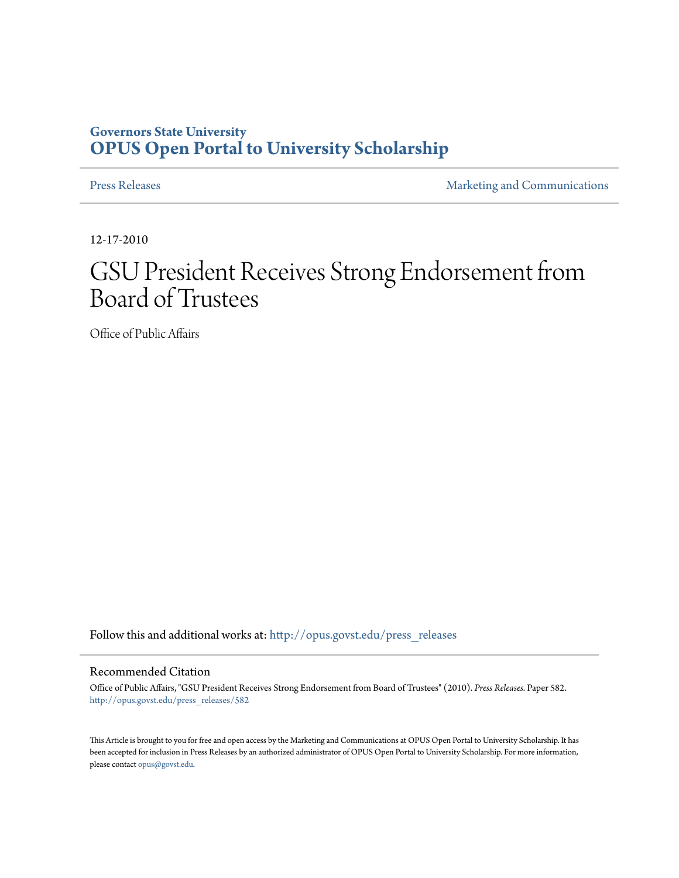## **Governors State University [OPUS Open Portal to University Scholarship](http://opus.govst.edu?utm_source=opus.govst.edu%2Fpress_releases%2F582&utm_medium=PDF&utm_campaign=PDFCoverPages)**

[Press Releases](http://opus.govst.edu/press_releases?utm_source=opus.govst.edu%2Fpress_releases%2F582&utm_medium=PDF&utm_campaign=PDFCoverPages) **[Marketing and Communications](http://opus.govst.edu/marketing_comm?utm_source=opus.govst.edu%2Fpress_releases%2F582&utm_medium=PDF&utm_campaign=PDFCoverPages)** 

12-17-2010

## GSU President Receives Strong Endorsement from Board of Trustees

Office of Public Affairs

Follow this and additional works at: [http://opus.govst.edu/press\\_releases](http://opus.govst.edu/press_releases?utm_source=opus.govst.edu%2Fpress_releases%2F582&utm_medium=PDF&utm_campaign=PDFCoverPages)

## Recommended Citation

Office of Public Affairs, "GSU President Receives Strong Endorsement from Board of Trustees" (2010). *Press Releases.* Paper 582. [http://opus.govst.edu/press\\_releases/582](http://opus.govst.edu/press_releases/582?utm_source=opus.govst.edu%2Fpress_releases%2F582&utm_medium=PDF&utm_campaign=PDFCoverPages)

This Article is brought to you for free and open access by the Marketing and Communications at OPUS Open Portal to University Scholarship. It has been accepted for inclusion in Press Releases by an authorized administrator of OPUS Open Portal to University Scholarship. For more information, please contact [opus@govst.edu](mailto:opus@govst.edu).